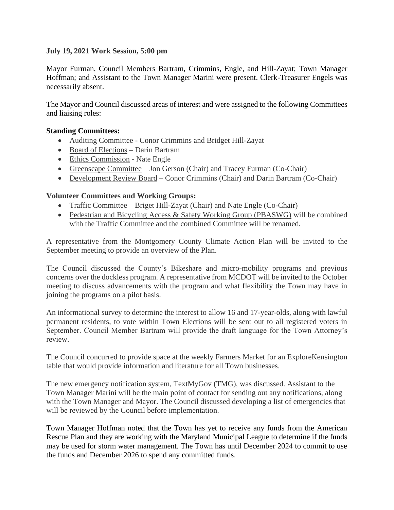## **July 19, 2021 Work Session, 5:00 pm**

Mayor Furman, Council Members Bartram, Crimmins, Engle, and Hill-Zayat; Town Manager Hoffman; and Assistant to the Town Manager Marini were present. Clerk-Treasurer Engels was necessarily absent.

The Mayor and Council discussed areas of interest and were assigned to the following Committees and liaising roles:

## **Standing Committees:**

- Auditing Committee Conor Crimmins and Bridget Hill-Zayat
- Board of Elections Darin Bartram
- Ethics Commission Nate Engle
- Greenscape Committee Jon Gerson (Chair) and Tracey Furman (Co-Chair)
- Development Review Board Conor Crimmins (Chair) and Darin Bartram (Co-Chair)

## **Volunteer Committees and Working Groups:**

- Traffic Committee Briget Hill-Zayat (Chair) and Nate Engle (Co-Chair)
- Pedestrian and Bicycling Access & Safety Working Group (PBASWG) will be combined with the Traffic Committee and the combined Committee will be renamed.

A representative from the Montgomery County Climate Action Plan will be invited to the September meeting to provide an overview of the Plan.

The Council discussed the County's Bikeshare and micro-mobility programs and previous concerns over the dockless program. A representative from MCDOT will be invited to the October meeting to discuss advancements with the program and what flexibility the Town may have in joining the programs on a pilot basis.

An informational survey to determine the interest to allow 16 and 17-year-olds, along with lawful permanent residents, to vote within Town Elections will be sent out to all registered voters in September. Council Member Bartram will provide the draft language for the Town Attorney's review.

The Council concurred to provide space at the weekly Farmers Market for an ExploreKensington table that would provide information and literature for all Town businesses.

The new emergency notification system, TextMyGov (TMG), was discussed. Assistant to the Town Manager Marini will be the main point of contact for sending out any notifications, along with the Town Manager and Mayor. The Council discussed developing a list of emergencies that will be reviewed by the Council before implementation.

Town Manager Hoffman noted that the Town has yet to receive any funds from the American Rescue Plan and they are working with the Maryland Municipal League to determine if the funds may be used for storm water management. The Town has until December 2024 to commit to use the funds and December 2026 to spend any committed funds.